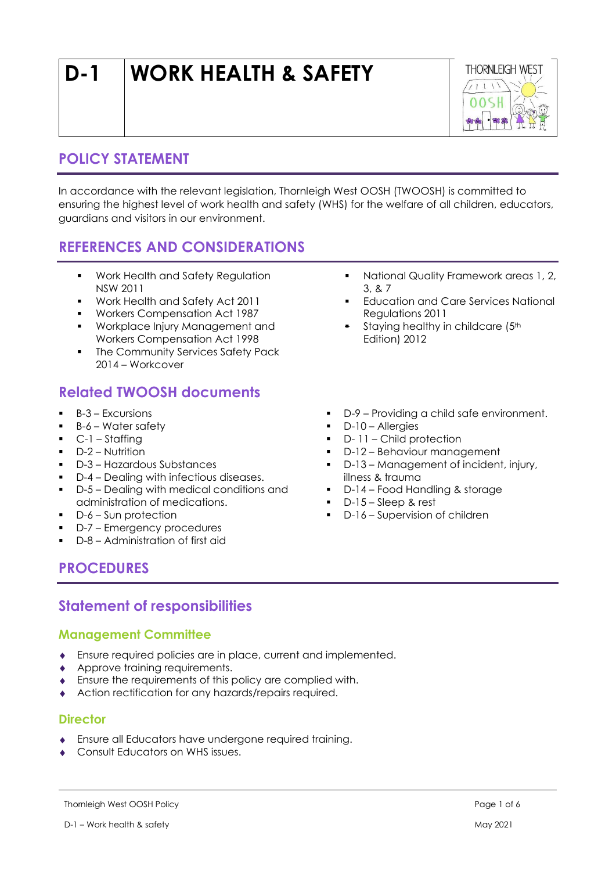# D-1 WORK HEALTH & SAFETY



# POLICY STATEMENT

In accordance with the relevant legislation, Thornleigh West OOSH (TWOOSH) is committed to ensuring the highest level of work health and safety (WHS) for the welfare of all children, educators, guardians and visitors in our environment.

# REFERENCES AND CONSIDERATIONS

- **Work Health and Safety Regulation** NSW 2011
- Work Health and Safety Act 2011
- Workers Compensation Act 1987
- **Workplace Injury Management and** Workers Compensation Act 1998
- The Community Services Safety Pack 2014 – Workcover

## Related TWOOSH documents

- $-B-3$  Excursions
- $B-6$  Water safety
- $\bullet$  C-1 Staffing
- **D-2 Nutrition**
- D-3 Hazardous Substances
- D-4 Dealing with infectious diseases.
- D-5 Dealing with medical conditions and administration of medications.
- D-6 Sun protection
- D-7 Emergency procedures
- D-8 Administration of first aid
- **National Quality Framework areas 1, 2, 4** 3, & 7
- **Education and Care Services National** Regulations 2011
- Staying healthy in childcare (5th Edition) 2012
- D-9 Providing a child safe environment.
- D-10 Allergies
- D- 11 Child protection
- D-12 Behaviour management
- D-13 Management of incident, injury, illness & trauma
- D-14 Food Handling & storage
- D-15 Sleep & rest
- D-16 Supervision of children

## PROCEDURES

## Statement of responsibilities

## Management Committee

- Ensure required policies are in place, current and implemented.
- ◆ Approve training requirements.
- Ensure the requirements of this policy are complied with.
- Action rectification for any hazards/repairs required.

## **Director**

- Ensure all Educators have undergone required training.
- Consult Educators on WHS issues.

Thornleigh West OOSH Policy **Page 1 of 6** and the state of  $\epsilon$  Page 1 of 6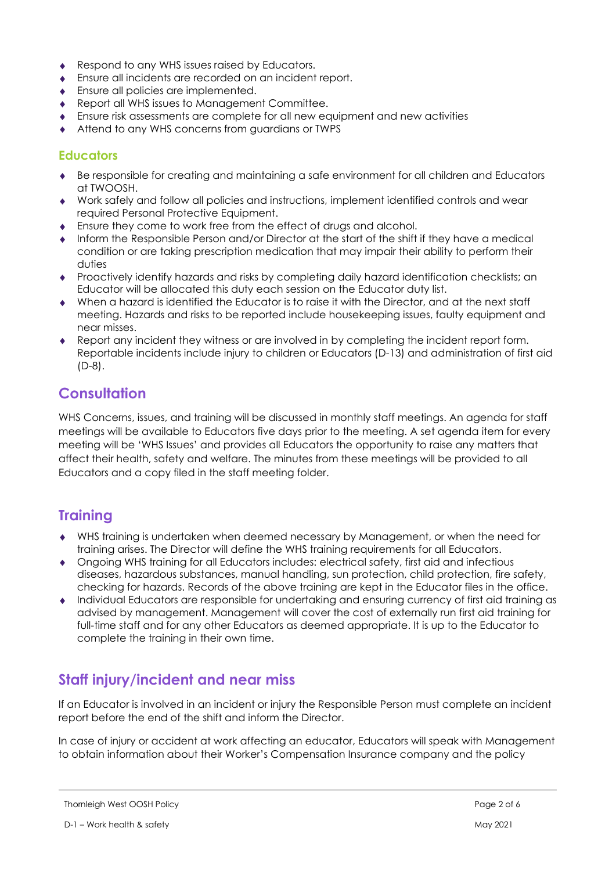- Respond to any WHS issues raised by Educators.
- Ensure all incidents are recorded on an incident report.
- **Ensure all policies are implemented.**
- ◆ Report all WHS issues to Management Committee.
- Ensure risk assessments are complete for all new equipment and new activities
- Attend to any WHS concerns from guardians or TWPS

#### **Educators**

- Be responsible for creating and maintaining a safe environment for all children and Educators at TWOOSH.
- Work safely and follow all policies and instructions, implement identified controls and wear required Personal Protective Equipment.
- Ensure they come to work free from the effect of drugs and alcohol.
- Inform the Responsible Person and/or Director at the start of the shift if they have a medical condition or are taking prescription medication that may impair their ability to perform their duties
- Proactively identify hazards and risks by completing daily hazard identification checklists; an Educator will be allocated this duty each session on the Educator duty list.
- When a hazard is identified the Educator is to raise it with the Director, and at the next staff meeting. Hazards and risks to be reported include housekeeping issues, faulty equipment and near misses.
- Report any incident they witness or are involved in by completing the incident report form. Reportable incidents include injury to children or Educators (D-13) and administration of first aid (D-8).

## **Consultation**

WHS Concerns, issues, and training will be discussed in monthly staff meetings. An agenda for staff meetings will be available to Educators five days prior to the meeting. A set agenda item for every meeting will be 'WHS Issues' and provides all Educators the opportunity to raise any matters that affect their health, safety and welfare. The minutes from these meetings will be provided to all Educators and a copy filed in the staff meeting folder.

## **Training**

- WHS training is undertaken when deemed necessary by Management, or when the need for training arises. The Director will define the WHS training requirements for all Educators.
- Ongoing WHS training for all Educators includes: electrical safety, first aid and infectious diseases, hazardous substances, manual handling, sun protection, child protection, fire safety, checking for hazards. Records of the above training are kept in the Educator files in the office.
- Individual Educators are responsible for undertaking and ensuring currency of first aid training as advised by management. Management will cover the cost of externally run first aid training for full-time staff and for any other Educators as deemed appropriate. It is up to the Educator to complete the training in their own time.

# Staff injury/incident and near miss

If an Educator is involved in an incident or injury the Responsible Person must complete an incident report before the end of the shift and inform the Director.

In case of injury or accident at work affecting an educator, Educators will speak with Management to obtain information about their Worker's Compensation Insurance company and the policy

Thornleigh West OOSH Policy **Page 2 of 6** and the state of the state of the state of the state of the state of the state of the state of the state of the state of the state of the state of the state of the state of the sta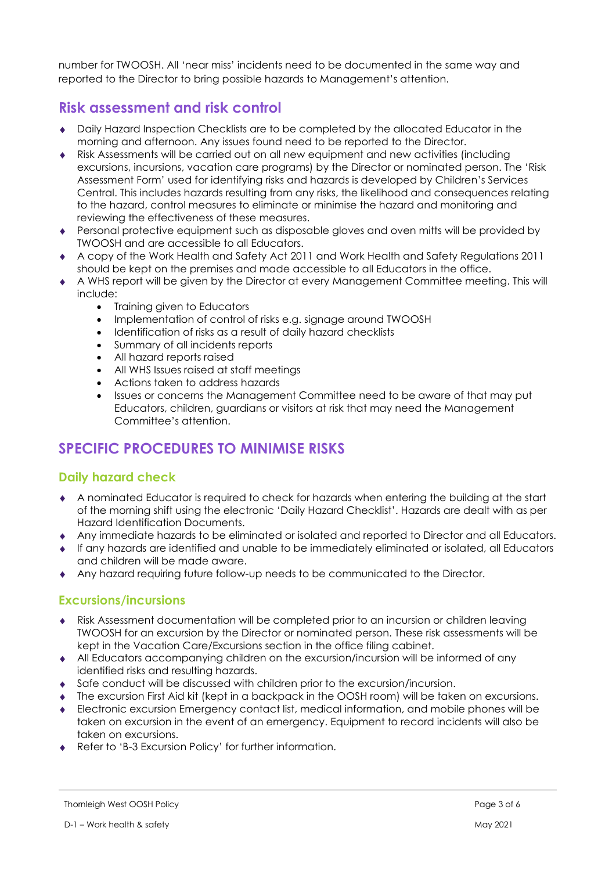number for TWOOSH. All 'near miss' incidents need to be documented in the same way and reported to the Director to bring possible hazards to Management's attention.

# Risk assessment and risk control

- Daily Hazard Inspection Checklists are to be completed by the allocated Educator in the morning and afternoon. Any issues found need to be reported to the Director.
- Risk Assessments will be carried out on all new equipment and new activities (including excursions, incursions, vacation care programs) by the Director or nominated person. The 'Risk Assessment Form' used for identifying risks and hazards is developed by Children's Services Central. This includes hazards resulting from any risks, the likelihood and consequences relating to the hazard, control measures to eliminate or minimise the hazard and monitoring and reviewing the effectiveness of these measures.
- Personal protective equipment such as disposable gloves and oven mitts will be provided by TWOOSH and are accessible to all Educators.
- A copy of the Work Health and Safety Act 2011 and Work Health and Safety Regulations 2011 should be kept on the premises and made accessible to all Educators in the office.
- A WHS report will be given by the Director at every Management Committee meeting. This will include:
	- Training given to Educators
	- Implementation of control of risks e.g. signage around TWOOSH
	- Identification of risks as a result of daily hazard checklists
	- Summary of all incidents reports
	- All hazard reports raised
	- All WHS Issues raised at staff meetings
	- Actions taken to address hazards
	- Issues or concerns the Management Committee need to be aware of that may put Educators, children, guardians or visitors at risk that may need the Management Committee's attention.

# SPECIFIC PROCEDURES TO MINIMISE RISKS

## Daily hazard check

- A nominated Educator is required to check for hazards when entering the building at the start of the morning shift using the electronic 'Daily Hazard Checklist'. Hazards are dealt with as per Hazard Identification Documents.
- Any immediate hazards to be eliminated or isolated and reported to Director and all Educators.
- If any hazards are identified and unable to be immediately eliminated or isolated, all Educators and children will be made aware.
- Any hazard requiring future follow-up needs to be communicated to the Director.

## Excursions/incursions

- Risk Assessment documentation will be completed prior to an incursion or children leaving TWOOSH for an excursion by the Director or nominated person. These risk assessments will be kept in the Vacation Care/Excursions section in the office filing cabinet.
- All Educators accompanying children on the excursion/incursion will be informed of any identified risks and resulting hazards.
- Safe conduct will be discussed with children prior to the excursion/incursion.
- The excursion First Aid kit (kept in a backpack in the OOSH room) will be taken on excursions.
- Electronic excursion Emergency contact list, medical information, and mobile phones will be taken on excursion in the event of an emergency. Equipment to record incidents will also be taken on excursions.
- ◆ Refer to 'B-3 Excursion Policy' for further information.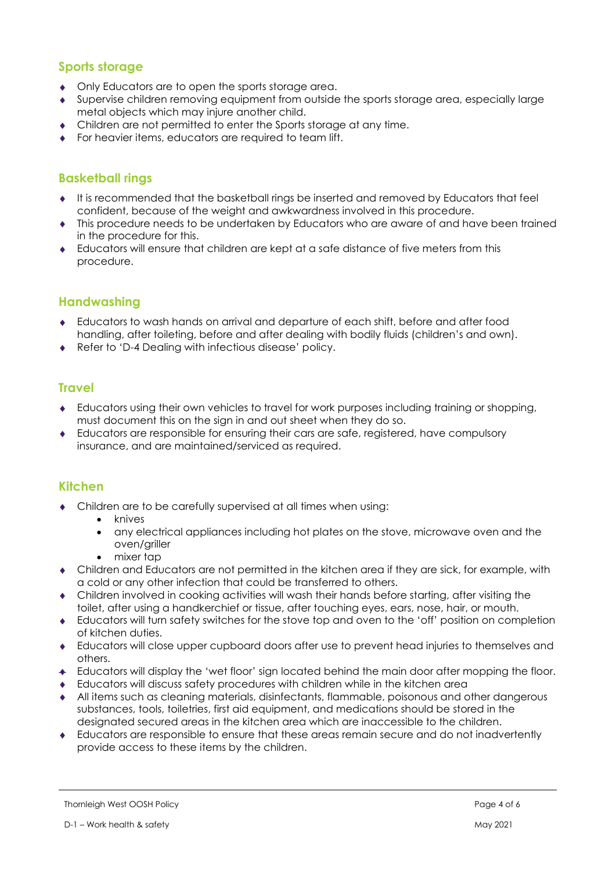## Sports storage

- Only Educators are to open the sports storage area.
- Supervise children removing equipment from outside the sports storage area, especially large metal objects which may injure another child.
- Children are not permitted to enter the Sports storage at any time.
- For heavier items, educators are required to team lift.

## Basketball rings

- It is recommended that the basketball rings be inserted and removed by Educators that feel confident, because of the weight and awkwardness involved in this procedure.
- This procedure needs to be undertaken by Educators who are aware of and have been trained in the procedure for this.
- Educators will ensure that children are kept at a safe distance of five meters from this procedure.

## Handwashing

- Educators to wash hands on arrival and departure of each shift, before and after food handling, after toileting, before and after dealing with bodily fluids (children's and own).
- ◆ Refer to 'D-4 Dealing with infectious disease' policy.

## **Travel**

- Educators using their own vehicles to travel for work purposes including training or shopping, must document this on the sign in and out sheet when they do so.
- Educators are responsible for ensuring their cars are safe, registered, have compulsory insurance, and are maintained/serviced as required.

#### Kitchen

- Children are to be carefully supervised at all times when using:
	- knives
		- any electrical appliances including hot plates on the stove, microwave oven and the oven/griller
		- mixer tap
- Children and Educators are not permitted in the kitchen area if they are sick, for example, with a cold or any other infection that could be transferred to others.
- Children involved in cooking activities will wash their hands before starting, after visiting the toilet, after using a handkerchief or tissue, after touching eyes, ears, nose, hair, or mouth.
- Educators will turn safety switches for the stove top and oven to the 'off' position on completion of kitchen duties.
- Educators will close upper cupboard doors after use to prevent head injuries to themselves and others.
- Educators will display the 'wet floor' sign located behind the main door after mopping the floor.
- Educators will discuss safety procedures with children while in the kitchen area
- All items such as cleaning materials, disinfectants, flammable, poisonous and other dangerous substances, tools, toiletries, first aid equipment, and medications should be stored in the designated secured areas in the kitchen area which are inaccessible to the children.
- Educators are responsible to ensure that these areas remain secure and do not inadvertently provide access to these items by the children.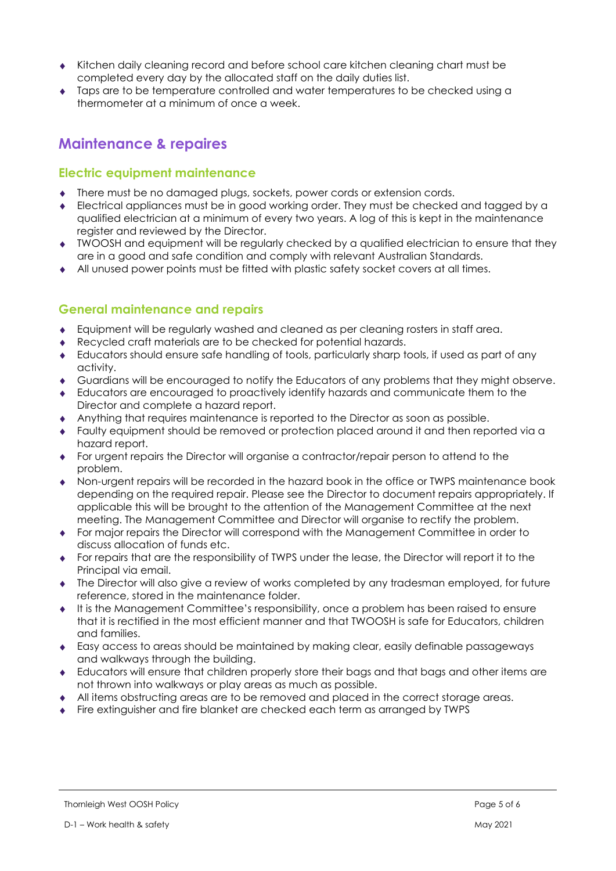- Kitchen daily cleaning record and before school care kitchen cleaning chart must be completed every day by the allocated staff on the daily duties list.
- Taps are to be temperature controlled and water temperatures to be checked using a thermometer at a minimum of once a week.

# Maintenance & repaires

## Electric equipment maintenance

- There must be no damaged plugs, sockets, power cords or extension cords.
- Electrical appliances must be in good working order. They must be checked and tagged by a qualified electrician at a minimum of every two years. A log of this is kept in the maintenance register and reviewed by the Director.
- TWOOSH and equipment will be regularly checked by a qualified electrician to ensure that they are in a good and safe condition and comply with relevant Australian Standards.
- All unused power points must be fitted with plastic safety socket covers at all times.

## General maintenance and repairs

- Equipment will be regularly washed and cleaned as per cleaning rosters in staff area.
- Recycled craft materials are to be checked for potential hazards.
- Educators should ensure safe handling of tools, particularly sharp tools, if used as part of any activity.
- Guardians will be encouraged to notify the Educators of any problems that they might observe.
- Educators are encouraged to proactively identify hazards and communicate them to the Director and complete a hazard report.
- Anything that requires maintenance is reported to the Director as soon as possible.
- Faulty equipment should be removed or protection placed around it and then reported via a hazard report.
- For urgent repairs the Director will organise a contractor/repair person to attend to the problem.
- Non-urgent repairs will be recorded in the hazard book in the office or TWPS maintenance book depending on the required repair. Please see the Director to document repairs appropriately. If applicable this will be brought to the attention of the Management Committee at the next meeting. The Management Committee and Director will organise to rectify the problem.
- For major repairs the Director will correspond with the Management Committee in order to discuss allocation of funds etc.
- For repairs that are the responsibility of TWPS under the lease, the Director will report it to the Principal via email.
- The Director will also give a review of works completed by any tradesman employed, for future reference, stored in the maintenance folder.
- It is the Management Committee's responsibility, once a problem has been raised to ensure that it is rectified in the most efficient manner and that TWOOSH is safe for Educators, children and families.
- Easy access to areas should be maintained by making clear, easily definable passageways and walkways through the building.
- Educators will ensure that children properly store their bags and that bags and other items are not thrown into walkways or play areas as much as possible.
- All items obstructing areas are to be removed and placed in the correct storage areas.
- Fire extinguisher and fire blanket are checked each term as arranged by TWPS